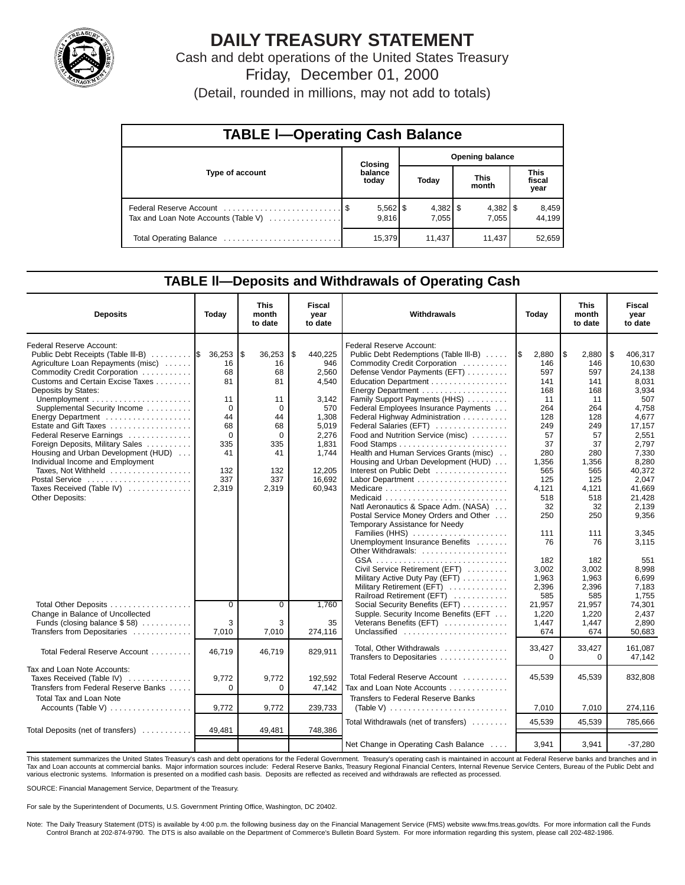

# **DAILY TREASURY STATEMENT**

Cash and debt operations of the United States Treasury Friday, December 01, 2000

(Detail, rounded in millions, may not add to totals)

| <b>TABLE I-Operating Cash Balance</b> |  |                     |                        |                     |                      |        |                        |                 |  |  |  |
|---------------------------------------|--|---------------------|------------------------|---------------------|----------------------|--------|------------------------|-----------------|--|--|--|
|                                       |  | Closing             | <b>Opening balance</b> |                     |                      |        |                        |                 |  |  |  |
| <b>Type of account</b>                |  | balance<br>today    | Today                  |                     | <b>This</b><br>month |        | This<br>fiscal<br>year |                 |  |  |  |
| Tax and Loan Note Accounts (Table V)  |  | $5,562$ \$<br>9.816 |                        | $4,382$ \$<br>7,055 |                      | 7.055  |                        | 8,459<br>44,199 |  |  |  |
|                                       |  | 15,379              |                        | 11.437              |                      | 11,437 |                        | 52,659          |  |  |  |

### **TABLE ll—Deposits and Withdrawals of Operating Cash**

| <b>Deposits</b>                                                                                                                                                             | Today                        | <b>This</b><br>month<br>to date | Fiscal<br>year<br>to date              | Withdrawals                                                                                                                                                |                                       | This<br>month<br>to date              | Fiscal<br>vear<br>to date                    |
|-----------------------------------------------------------------------------------------------------------------------------------------------------------------------------|------------------------------|---------------------------------|----------------------------------------|------------------------------------------------------------------------------------------------------------------------------------------------------------|---------------------------------------|---------------------------------------|----------------------------------------------|
| Federal Reserve Account:<br>Public Debt Receipts (Table III-B)  S<br>Agriculture Loan Repayments (misc)<br>Commodity Credit Corporation<br>Customs and Certain Excise Taxes | 36,253<br>16<br>68<br>81     | \$<br>36,253<br>16<br>68<br>81  | \$<br>440,225<br>946<br>2.560<br>4.540 | Federal Reserve Account:<br>Public Debt Redemptions (Table III-B)<br>Commodity Credit Corporation<br>Defense Vendor Payments (EFT)<br>Education Department | 2,880<br>I\$<br>146<br>597<br>141     | \$<br>2,880<br>146<br>597<br>141      | l \$<br>406,317<br>10.630<br>24.138<br>8.031 |
| Deposits by States:<br>Supplemental Security Income<br>Energy Department<br>Estate and Gift Taxes                                                                           | 11<br>$\Omega$<br>44<br>68   | 11<br>$\mathbf 0$<br>44<br>68   | 3,142<br>570<br>1,308<br>5,019         | Family Support Payments (HHS)<br>Federal Employees Insurance Payments<br>Federal Highway Administration<br>Federal Salaries (EFT)                          | 168<br>11<br>264<br>128<br>249        | 168<br>11<br>264<br>128<br>249        | 3,934<br>507<br>4,758<br>4,677<br>17,157     |
| Federal Reserve Earnings<br>Foreign Deposits, Military Sales<br>Housing and Urban Development (HUD)<br>Individual Income and Employment                                     | $\Omega$<br>335<br>41        | $\Omega$<br>335<br>41           | 2,276<br>1,831<br>1.744                | Food and Nutrition Service (misc)<br>Health and Human Services Grants (misc)<br>Housing and Urban Development (HUD)                                        | 57<br>37<br>280<br>1,356              | 57<br>37<br>280<br>1.356              | 2,551<br>2.797<br>7,330<br>8.280             |
| Taxes, Not Withheld<br>Postal Service<br>Taxes Received (Table IV)<br><b>Other Deposits:</b>                                                                                | 132<br>337<br>2.319          | 132<br>337<br>2.319             | 12.205<br>16.692<br>60.943             | Interest on Public Debt<br>Natl Aeronautics & Space Adm. (NASA)                                                                                            | 565<br>125<br>4.121<br>518<br>32      | 565<br>125<br>4.121<br>518<br>32      | 40.372<br>2.047<br>41.669<br>21,428<br>2,139 |
|                                                                                                                                                                             |                              |                                 |                                        | Postal Service Money Orders and Other<br>Temporary Assistance for Needy<br>Families (HHS)<br>Unemployment Insurance Benefits<br>Other Withdrawals:         | 250<br>111<br>76                      | 250<br>111<br>76                      | 9,356<br>3,345<br>3,115                      |
|                                                                                                                                                                             |                              |                                 |                                        | Civil Service Retirement (EFT)<br>Military Active Duty Pay (EFT)<br>Military Retirement (EFT)<br>Railroad Retirement (EFT)                                 | 182<br>3.002<br>1,963<br>2,396<br>585 | 182<br>3.002<br>1.963<br>2,396<br>585 | 551<br>8.998<br>6.699<br>7,183<br>1.755      |
| Total Other Deposits<br>Change in Balance of Uncollected<br>Funds (closing balance \$58)<br>Transfers from Depositaries                                                     | $\overline{0}$<br>3<br>7,010 | $\overline{0}$<br>3<br>7,010    | 1,760<br>35<br>274,116                 | Social Security Benefits (EFT)<br>Supple. Security Income Benefits (EFT<br>Veterans Benefits (EFT)<br>Unclassified                                         | 21,957<br>1,220<br>1,447<br>674       | 21,957<br>1,220<br>1,447<br>674       | 74,301<br>2,437<br>2,890<br>50,683           |
| Total Federal Reserve Account                                                                                                                                               | 46.719                       | 46.719                          | 829.911                                | Total, Other Withdrawals<br>Transfers to Depositaries                                                                                                      | 33,427<br>$\Omega$                    | 33,427<br>$\Omega$                    | 161.087<br>47,142                            |
| Tax and Loan Note Accounts:<br>Taxes Received (Table IV)<br>Transfers from Federal Reserve Banks                                                                            | 9,772<br>$\Omega$            | 9,772<br>$\Omega$               | 192,592<br>47,142                      | Total Federal Reserve Account<br>Tax and Loan Note Accounts                                                                                                | 45,539                                | 45,539                                | 832,808                                      |
| Total Tax and Loan Note<br>Accounts (Table V)                                                                                                                               | 9,772                        | 9,772                           | 239.733                                | Transfers to Federal Reserve Banks                                                                                                                         | 7,010                                 | 7.010                                 | 274,116                                      |
| Total Deposits (net of transfers)                                                                                                                                           | 49,481                       | 49,481                          | 748,386                                | Total Withdrawals (net of transfers)                                                                                                                       | 45,539                                | 45.539                                | 785,666                                      |
|                                                                                                                                                                             |                              |                                 |                                        | Net Change in Operating Cash Balance                                                                                                                       | 3,941                                 | 3,941                                 | $-37,280$                                    |

This statement summarizes the United States Treasury's cash and debt operations for the Federal Government. Treasury's operating cash is maintained in account at Federal Reserve banks and branches and in Tax and Loan accounts at commercial banks. Major information sources include: Federal Reserve Banks, Treasury Regional Financial Centers, Internal Revenue Service Centers, Bureau of the Public Debt and<br>various electronic s

SOURCE: Financial Management Service, Department of the Treasury.

For sale by the Superintendent of Documents, U.S. Government Printing Office, Washington, DC 20402.

Note: The Daily Treasury Statement (DTS) is available by 4:00 p.m. the following business day on the Financial Management Service (FMS) website www.fms.treas.gov/dts. For more information call the Funds<br>Control Branch at 2